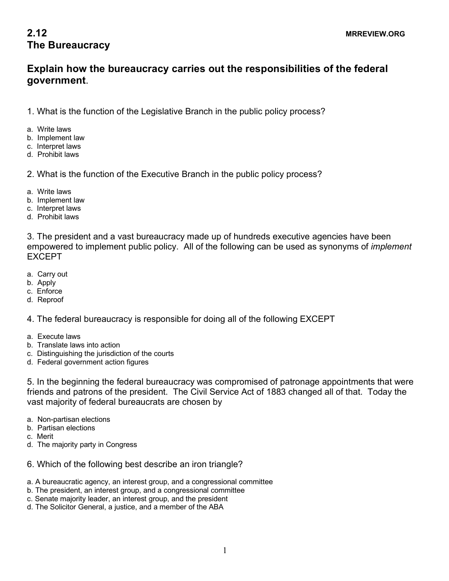## **2.12** MRREVIEW.ORG **The Bureaucracy**

## **Explain how the bureaucracy carries out the responsibilities of the federal government**.

1. What is the function of the Legislative Branch in the public policy process?

- a. Write laws
- b. Implement law
- c. Interpret laws
- d. Prohibit laws

2. What is the function of the Executive Branch in the public policy process?

- a. Write laws
- b. Implement law
- c. Interpret laws
- d. Prohibit laws

3. The president and a vast bureaucracy made up of hundreds executive agencies have been empowered to implement public policy. All of the following can be used as synonyms of *implement* EXCEPT

- a. Carry out
- b. Apply
- c. Enforce
- d. Reproof

4. The federal bureaucracy is responsible for doing all of the following EXCEPT

- a. Execute laws
- b. Translate laws into action
- c. Distinguishing the jurisdiction of the courts
- d. Federal government action figures

5. In the beginning the federal bureaucracy was compromised of patronage appointments that were friends and patrons of the president. The Civil Service Act of 1883 changed all of that. Today the vast majority of federal bureaucrats are chosen by

- a. Non-partisan elections
- b. Partisan elections
- c. Merit
- d. The majority party in Congress
- 6. Which of the following best describe an iron triangle?
- a. A bureaucratic agency, an interest group, and a congressional committee
- b. The president, an interest group, and a congressional committee
- c. Senate majority leader, an interest group, and the president
- d. The Solicitor General, a justice, and a member of the ABA